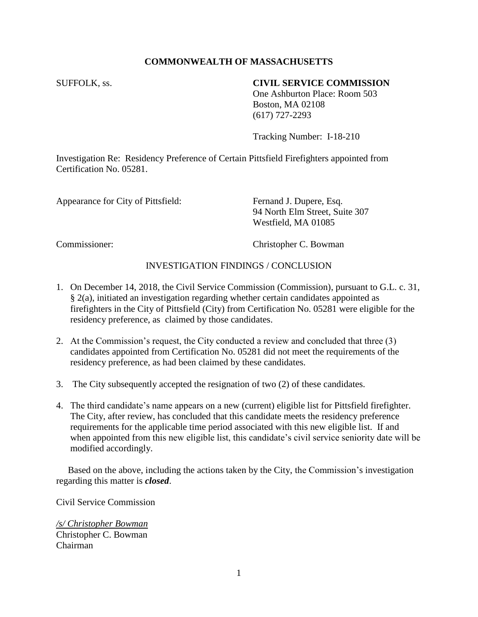## **COMMONWEALTH OF MASSACHUSETTS**

## SUFFOLK, ss. **CIVIL SERVICE COMMISSION**

One Ashburton Place: Room 503 Boston, MA 02108 (617) 727-2293

Tracking Number: I-18-210

Investigation Re: Residency Preference of Certain Pittsfield Firefighters appointed from Certification No. 05281.

Appearance for City of Pittsfield: Fernand J. Dupere, Esq.

94 North Elm Street, Suite 307 Westfield, MA 01085

Commissioner: Christopher C. Bowman

## INVESTIGATION FINDINGS / CONCLUSION

- 1. On December 14, 2018, the Civil Service Commission (Commission), pursuant to G.L. c. 31, § 2(a), initiated an investigation regarding whether certain candidates appointed as firefighters in the City of Pittsfield (City) from Certification No. 05281 were eligible for the residency preference, as claimed by those candidates.
- 2. At the Commission's request, the City conducted a review and concluded that three (3) candidates appointed from Certification No. 05281 did not meet the requirements of the residency preference, as had been claimed by these candidates.
- 3. The City subsequently accepted the resignation of two (2) of these candidates.
- 4. The third candidate's name appears on a new (current) eligible list for Pittsfield firefighter. The City, after review, has concluded that this candidate meets the residency preference requirements for the applicable time period associated with this new eligible list. If and when appointed from this new eligible list, this candidate's civil service seniority date will be modified accordingly.

 Based on the above, including the actions taken by the City, the Commission's investigation regarding this matter is *closed*.

Civil Service Commission

*/s/ Christopher Bowman* Christopher C. Bowman Chairman